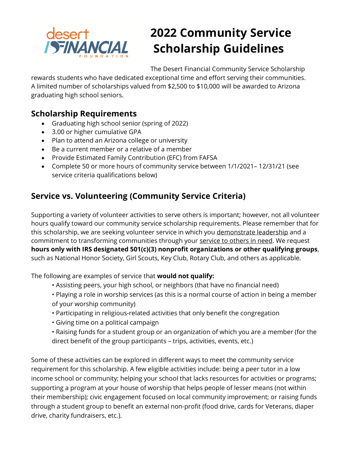

# **2022 Community Service Scholarship Guidelines**

The Desert Financial Community Service Scholarship

rewards students who have dedicated exceptional time and effort serving their communities. A limited number of scholarships valued from \$2,500 to \$10,000 will be awarded to Arizona graduating high school seniors.

## **Scholarship Requirements**

- Graduating high school senior (spring of 2022)
- 3.00 or higher cumulative GPA
- Plan to attend an Arizona college or university
- Be a current member or a relative of a member
- Provide Estimated Family Contribution (EFC) from FAFSA
- Complete 50 or more hours of community service between 1/1/2021– 12/31/21 (see service criteria qualifications below)

# **Service vs. Volunteering (Community Service Criteria)**

Supporting a variety of volunteer activities to serve others is important; however, not all volunteer hours qualify toward our community service scholarship requirements. Please remember that for this scholarship, we are seeking volunteer service in which you demonstrate leadership and a commitment to transforming communities through your service to others in need. We request **hours only with IRS designated 501(c)(3) nonprofit organizations or other qualifying groups**, such as National Honor Society, Girl Scouts, Key Club, Rotary Club, and others as applicable.

The following are examples of service that **would not qualify:** 

- Assisting peers, your high school, or neighbors (that have no financial need)
- Playing a role in worship services (as this is a normal course of action in being a member of your worship community)
- Participating in religious-related activities that only benefit the congregation
- Giving time on a political campaign
- Raising funds for a student group or an organization of which you are a member (for the direct benefit of the group participants – trips, activities, events, etc.)

Some of these activities can be explored in different ways to meet the community service requirement for this scholarship. A few eligible activities include: being a peer tutor in a low income school or community; helping your school that lacks resources for activities or programs; supporting a program at your house of worship that helps people of lesser means (not within their membership); civic engagement focused on local community improvement; or raising funds through a student group to benefit an external non-profit (food drive, cards for Veterans, diaper drive, charity fundraisers, etc.).